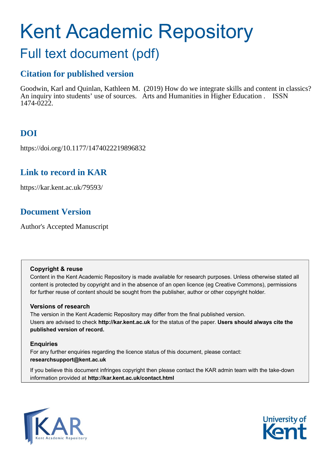# Kent Academic Repository

## Full text document (pdf)

## **Citation for published version**

Goodwin, Karl and Quinlan, Kathleen M. (2019) How do we integrate skills and content in classics? An inquiry into students' use of sources. Arts and Humanities in Higher Education . ISSN 1474-0222.

## **DOI**

https://doi.org/10.1177/1474022219896832

### **Link to record in KAR**

https://kar.kent.ac.uk/79593/

## **Document Version**

Author's Accepted Manuscript

#### **Copyright & reuse**

Content in the Kent Academic Repository is made available for research purposes. Unless otherwise stated all content is protected by copyright and in the absence of an open licence (eg Creative Commons), permissions for further reuse of content should be sought from the publisher, author or other copyright holder.

#### **Versions of research**

The version in the Kent Academic Repository may differ from the final published version. Users are advised to check **http://kar.kent.ac.uk** for the status of the paper. **Users should always cite the published version of record.**

#### **Enquiries**

For any further enquiries regarding the licence status of this document, please contact: **researchsupport@kent.ac.uk**

If you believe this document infringes copyright then please contact the KAR admin team with the take-down information provided at **http://kar.kent.ac.uk/contact.html**



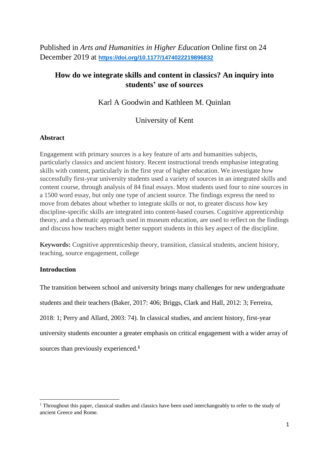Published in *Arts and Humanities in Higher Education* Online first on 24 December 2019 at **[https://doi.org/10.1177/1474022219896832](https://doi.org/10.1177%2F1474022219896832)**

#### **How do we integrate skills and content in classics? An inquiry into students' use of sources**

#### Karl A Goodwin and Kathleen M. Quinlan

#### University of Kent

#### **Abstract**

Engagement with primary sources is a key feature of arts and humanities subjects, particularly classics and ancient history. Recent instructional trends emphasise integrating skills with content, particularly in the first year of higher education. We investigate how successfully first-year university students used a variety of sources in an integrated skills and content course, through analysis of 84 final essays. Most students used four to nine sources in a 1500 word essay, but only one type of ancient source. The findings express the need to move from debates about whether to integrate skills or not, to greater discuss *how* key discipline-specific skills are integrated into content-based courses. Cognitive apprenticeship theory, and a thematic approach used in museum education, are used to reflect on the findings and discuss how teachers might better support students in this key aspect of the discipline.

**Keywords:** Cognitive apprenticeship theory, transition, classical students, ancient history, teaching, source engagement, college

#### **Introduction**

1

The transition between school and university brings many challenges for new undergraduate students and their teachers (Baker, 2017: 406; Briggs, Clark and Hall, 2012: 3; Ferreira, 2018: 1; Perry and Allard, 2003: 74). In classical studies, and ancient history, first-year university students encounter a greater emphasis on critical engagement with a wider array of sources than previously experienced.**<sup>1</sup>**

<sup>&</sup>lt;sup>1</sup> Throughout this paper, classical studies and classics have been used interchangeably to refer to the study of ancient Greece and Rome.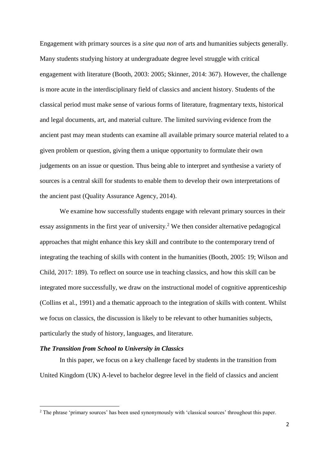Engagement with primary sources is a *sine qua non* of arts and humanities subjects generally. Many students studying history at undergraduate degree level struggle with critical engagement with literature (Booth, 2003: 2005; Skinner, 2014: 367). However, the challenge is more acute in the interdisciplinary field of classics and ancient history. Students of the classical period must make sense of various forms of literature, fragmentary texts, historical and legal documents, art, and material culture. The limited surviving evidence from the ancient past may mean students can examine all available primary source material related to a given problem or question, giving them a unique opportunity to formulate their own judgements on an issue or question. Thus being able to interpret and synthesise a variety of sources is a central skill for students to enable them to develop their own interpretations of the ancient past (Quality Assurance Agency, 2014).

We examine how successfully students engage with relevant primary sources in their essay assignments in the first year of university.<sup>2</sup> We then consider alternative pedagogical approaches that might enhance this key skill and contribute to the contemporary trend of integrating the teaching of skills with content in the humanities (Booth, 2005: 19; Wilson and Child, 2017: 189). To reflect on source use in teaching classics, and how this skill can be integrated more successfully, we draw on the instructional model of cognitive apprenticeship (Collins et al., 1991) and a thematic approach to the integration of skills with content. Whilst we focus on classics, the discussion is likely to be relevant to other humanities subjects, particularly the study of history, languages, and literature.

#### *The Transition from School to University in Classics*

<u>.</u>

In this paper, we focus on a key challenge faced by students in the transition from United Kingdom (UK) A-level to bachelor degree level in the field of classics and ancient

<sup>&</sup>lt;sup>2</sup> The phrase 'primary sources' has been used synonymously with 'classical sources' throughout this paper.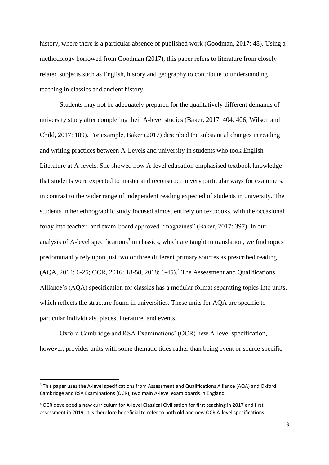history, where there is a particular absence of published work (Goodman, 2017: 48). Using a methodology borrowed from Goodman (2017), this paper refers to literature from closely related subjects such as English, history and geography to contribute to understanding teaching in classics and ancient history.

Students may not be adequately prepared for the qualitatively different demands of university study after completing their A-level studies (Baker, 2017: 404, 406; Wilson and Child, 2017: 189). For example, Baker (2017) described the substantial changes in reading and writing practices between A-Levels and university in students who took English Literature at A-levels. She showed how A-level education emphasised textbook knowledge that students were expected to master and reconstruct in very particular ways for examiners, in contrast to the wider range of independent reading expected of students in university. The students in her ethnographic study focused almost entirely on textbooks, with the occasional foray into teacher- and exam-board approved "magazines" (Baker, 2017: 397). In our analysis of A-level specifications<sup>3</sup> in classics, which are taught in translation, we find topics predominantly rely upon just two or three different primary sources as prescribed reading (AQA, 2014: 6-25; OCR, 2016: 18-58, 2018: 6-45).<sup>4</sup> The Assessment and Qualifications Alliance's (AQA) specification for classics has a modular format separating topics into units, which reflects the structure found in universities. These units for AQA are specific to particular individuals, places, literature, and events.

Oxford Cambridge and RSA Examinations' (OCR) new A-level specification, however, provides units with some thematic titles rather than being event or source specific

<u>.</u>

<sup>3</sup> This paper uses the A-level specifications from Assessment and Qualifications Alliance (AQA) and Oxford Cambridge and RSA Examinations (OCR), two main A-level exam boards in England.

<sup>4</sup> OCR developed a new curriculum for A-level Classical Civilisation for first teaching in 2017 and first assessment in 2019. It is therefore beneficial to refer to both old and new OCR A-level specifications.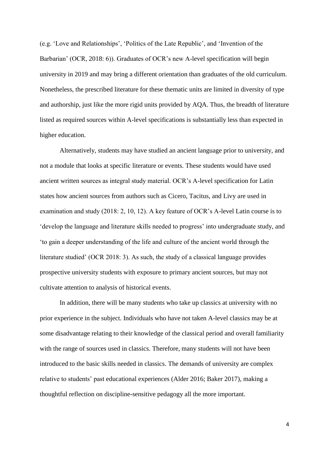(e.g. 'Love and Relationships', 'Politics of the Late Republic', and 'Invention of the Barbarian' (OCR, 2018: 6)). Graduates of OCR's new A-level specification will begin university in 2019 and may bring a different orientation than graduates of the old curriculum. Nonetheless, the prescribed literature for these thematic units are limited in diversity of type and authorship, just like the more rigid units provided by AQA. Thus, the breadth of literature listed as required sources within A-level specifications is substantially less than expected in higher education.

Alternatively, students may have studied an ancient language prior to university, and not a module that looks at specific literature or events. These students would have used ancient written sources as integral study material. OCR's A-level specification for Latin states how ancient sources from authors such as Cicero, Tacitus, and Livy are used in examination and study (2018: 2, 10, 12). A key feature of OCR's A-level Latin course is to 'develop the language and literature skills needed to progress' into undergraduate study, and 'to gain a deeper understanding of the life and culture of the ancient world through the literature studied' (OCR 2018: 3). As such, the study of a classical language provides prospective university students with exposure to primary ancient sources, but may not cultivate attention to analysis of historical events.

In addition, there will be many students who take up classics at university with no prior experience in the subject. Individuals who have not taken A-level classics may be at some disadvantage relating to their knowledge of the classical period and overall familiarity with the range of sources used in classics. Therefore, many students will not have been introduced to the basic skills needed in classics. The demands of university are complex relative to students' past educational experiences (Alder 2016; Baker 2017), making a thoughtful reflection on discipline-sensitive pedagogy all the more important.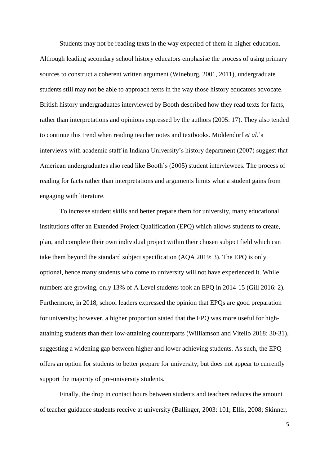Students may not be reading texts in the way expected of them in higher education. Although leading secondary school history educators emphasise the process of using primary sources to construct a coherent written argument (Wineburg, 2001, 2011), undergraduate students still may not be able to approach texts in the way those history educators advocate. British history undergraduates interviewed by Booth described how they read texts for facts, rather than interpretations and opinions expressed by the authors (2005: 17). They also tended to continue this trend when reading teacher notes and textbooks. Middendorf *et al*.'s interviews with academic staff in Indiana University's history department (2007) suggest that American undergraduates also read like Booth's (2005) student interviewees. The process of reading for facts rather than interpretations and arguments limits what a student gains from engaging with literature.

To increase student skills and better prepare them for university, many educational institutions offer an Extended Project Qualification (EPQ) which allows students to create, plan, and complete their own individual project within their chosen subject field which can take them beyond the standard subject specification (AQA 2019: 3). The EPQ is only optional, hence many students who come to university will not have experienced it. While numbers are growing, only 13% of A Level students took an EPQ in 2014-15 (Gill 2016: 2). Furthermore, in 2018, school leaders expressed the opinion that EPQs are good preparation for university; however, a higher proportion stated that the EPQ was more useful for highattaining students than their low-attaining counterparts (Williamson and Vitello 2018: 30-31), suggesting a widening gap between higher and lower achieving students. As such, the EPQ offers an option for students to better prepare for university, but does not appear to currently support the majority of pre-university students.

Finally, the drop in contact hours between students and teachers reduces the amount of teacher guidance students receive at university (Ballinger, 2003: 101; Ellis, 2008; Skinner,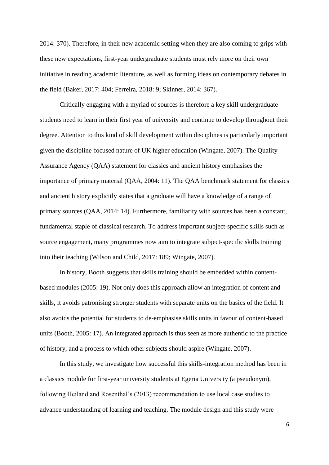2014: 370). Therefore, in their new academic setting when they are also coming to grips with these new expectations, first-year undergraduate students must rely more on their own initiative in reading academic literature, as well as forming ideas on contemporary debates in the field (Baker, 2017: 404; Ferreira, 2018: 9; Skinner, 2014: 367).

Critically engaging with a myriad of sources is therefore a key skill undergraduate students need to learn in their first year of university and continue to develop throughout their degree. Attention to this kind of skill development within disciplines is particularly important given the discipline-focused nature of UK higher education (Wingate, 2007). The Quality Assurance Agency (QAA) statement for classics and ancient history emphasises the importance of primary material (QAA, 2004: 11). The QAA benchmark statement for classics and ancient history explicitly states that a graduate will have a knowledge of a range of primary sources (QAA, 2014: 14). Furthermore, familiarity with sources has been a constant, fundamental staple of classical research. To address important subject-specific skills such as source engagement, many programmes now aim to integrate subject-specific skills training into their teaching (Wilson and Child, 2017: 189; Wingate, 2007).

In history, Booth suggests that skills training should be embedded within contentbased modules (2005: 19). Not only does this approach allow an integration of content and skills, it avoids patronising stronger students with separate units on the basics of the field. It also avoids the potential for students to de-emphasise skills units in favour of content-based units (Booth, 2005: 17). An integrated approach is thus seen as more authentic to the practice of history, and a process to which other subjects should aspire (Wingate, 2007).

In this study, we investigate how successful this skills-integration method has been in a classics module for first-year university students at Egeria University (a pseudonym), following Heiland and Rosenthal's (2013) recommendation to use local case studies to advance understanding of learning and teaching. The module design and this study were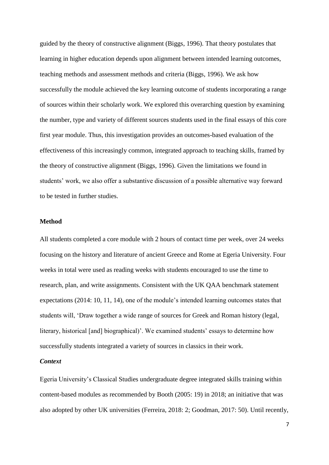guided by the theory of constructive alignment (Biggs, 1996). That theory postulates that learning in higher education depends upon alignment between intended learning outcomes, teaching methods and assessment methods and criteria (Biggs, 1996). We ask how successfully the module achieved the key learning outcome of students incorporating a range of sources within their scholarly work. We explored this overarching question by examining the number, type and variety of different sources students used in the final essays of this core first year module. Thus, this investigation provides an outcomes-based evaluation of the effectiveness of this increasingly common, integrated approach to teaching skills, framed by the theory of constructive alignment (Biggs, 1996). Given the limitations we found in students' work, we also offer a substantive discussion of a possible alternative way forward to be tested in further studies.

#### **Method**

All students completed a core module with 2 hours of contact time per week, over 24 weeks focusing on the history and literature of ancient Greece and Rome at Egeria University. Four weeks in total were used as reading weeks with students encouraged to use the time to research, plan, and write assignments. Consistent with the UK QAA benchmark statement expectations (2014: 10, 11, 14), one of the module's intended learning outcomes states that students will, 'Draw together a wide range of sources for Greek and Roman history (legal, literary, historical [and] biographical)'. We examined students' essays to determine how successfully students integrated a variety of sources in classics in their work.

#### *Context*

Egeria University's Classical Studies undergraduate degree integrated skills training within content-based modules as recommended by Booth (2005: 19) in 2018; an initiative that was also adopted by other UK universities (Ferreira, 2018: 2; Goodman, 2017: 50). Until recently,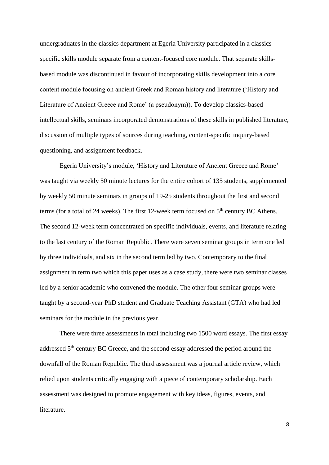undergraduates in the **c**lassics department at Egeria University participated in a classicsspecific skills module separate from a content-focused core module. That separate skillsbased module was discontinued in favour of incorporating skills development into a core content module focusing on ancient Greek and Roman history and literature ('History and Literature of Ancient Greece and Rome' (a pseudonym)). To develop classics-based intellectual skills, seminars incorporated demonstrations of these skills in published literature, discussion of multiple types of sources during teaching, content-specific inquiry-based questioning, and assignment feedback.

Egeria University's module, 'History and Literature of Ancient Greece and Rome' was taught via weekly 50 minute lectures for the entire cohort of 135 students, supplemented by weekly 50 minute seminars in groups of 19-25 students throughout the first and second terms (for a total of 24 weeks). The first 12-week term focused on  $5<sup>th</sup>$  century BC Athens. The second 12-week term concentrated on specific individuals, events, and literature relating to the last century of the Roman Republic. There were seven seminar groups in term one led by three individuals, and six in the second term led by two. Contemporary to the final assignment in term two which this paper uses as a case study, there were two seminar classes led by a senior academic who convened the module. The other four seminar groups were taught by a second-year PhD student and Graduate Teaching Assistant (GTA) who had led seminars for the module in the previous year.

There were three assessments in total including two 1500 word essays. The first essay addressed 5<sup>th</sup> century BC Greece, and the second essay addressed the period around the downfall of the Roman Republic. The third assessment was a journal article review, which relied upon students critically engaging with a piece of contemporary scholarship. Each assessment was designed to promote engagement with key ideas, figures, events, and literature.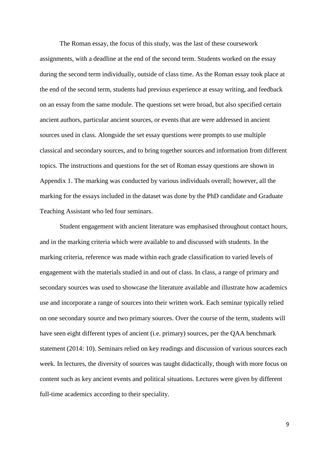The Roman essay, the focus of this study, was the last of these coursework assignments, with a deadline at the end of the second term. Students worked on the essay during the second term individually, outside of class time. As the Roman essay took place at the end of the second term, students had previous experience at essay writing, and feedback on an essay from the same module. The questions set were broad, but also specified certain ancient authors, particular ancient sources, or events that are were addressed in ancient sources used in class. Alongside the set essay questions were prompts to use multiple classical and secondary sources, and to bring together sources and information from different topics. The instructions and questions for the set of Roman essay questions are shown in Appendix 1. The marking was conducted by various individuals overall; however, all the marking for the essays included in the dataset was done by the PhD candidate and Graduate Teaching Assistant who led four seminars.

Student engagement with ancient literature was emphasised throughout contact hours, and in the marking criteria which were available to and discussed with students. In the marking criteria, reference was made within each grade classification to varied levels of engagement with the materials studied in and out of class. In class, a range of primary and secondary sources was used to showcase the literature available and illustrate how academics use and incorporate a range of sources into their written work. Each seminar typically relied on one secondary source and two primary sources. Over the course of the term, students will have seen eight different types of ancient (i.e. primary) sources, per the QAA benchmark statement (2014: 10). Seminars relied on key readings and discussion of various sources each week. In lectures, the diversity of sources was taught didactically, though with more focus on content such as key ancient events and political situations. Lectures were given by different full-time academics according to their speciality.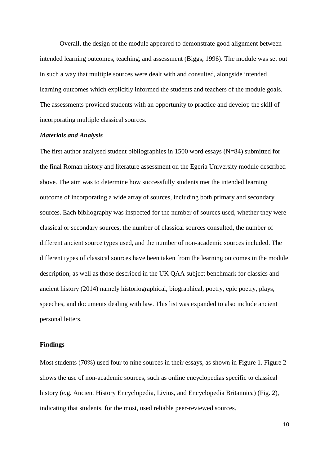Overall, the design of the module appeared to demonstrate good alignment between intended learning outcomes, teaching, and assessment (Biggs, 1996). The module was set out in such a way that multiple sources were dealt with and consulted, alongside intended learning outcomes which explicitly informed the students and teachers of the module goals. The assessments provided students with an opportunity to practice and develop the skill of incorporating multiple classical sources.

#### *Materials and Analysis*

The first author analysed student bibliographies in 1500 word essays (N=84) submitted for the final Roman history and literature assessment on the Egeria University module described above. The aim was to determine how successfully students met the intended learning outcome of incorporating a wide array of sources, including both primary and secondary sources. Each bibliography was inspected for the number of sources used, whether they were classical or secondary sources, the number of classical sources consulted, the number of different ancient source types used, and the number of non-academic sources included. The different types of classical sources have been taken from the learning outcomes in the module description, as well as those described in the UK QAA subject benchmark for classics and ancient history (2014) namely historiographical, biographical, poetry, epic poetry, plays, speeches, and documents dealing with law. This list was expanded to also include ancient personal letters.

#### **Findings**

Most students (70%) used four to nine sources in their essays, as shown in Figure 1. Figure 2 shows the use of non-academic sources, such as online encyclopedias specific to classical history (e.g. Ancient History Encyclopedia, Livius, and Encyclopedia Britannica) (Fig. 2), indicating that students, for the most, used reliable peer-reviewed sources.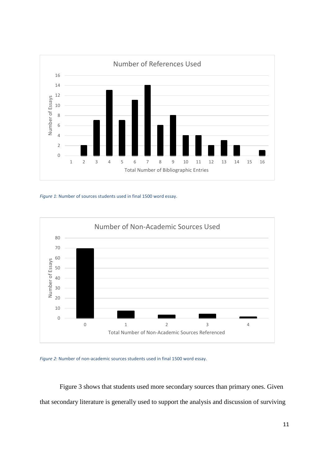

*Figure 1*: Number of sources students used in final 1500 word essay.



*Figure 2*: Number of non-academic sources students used in final 1500 word essay.

Figure 3 shows that students used more secondary sources than primary ones. Given that secondary literature is generally used to support the analysis and discussion of surviving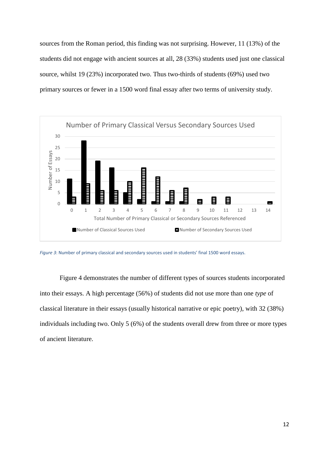sources from the Roman period, this finding was not surprising. However, 11 (13%) of the students did not engage with ancient sources at all, 28 (33%) students used just one classical source, whilst 19 (23%) incorporated two. Thus two-thirds of students (69%) used two primary sources or fewer in a 1500 word final essay after two terms of university study.



*Figure 3*: Number of primary classical and secondary sources used in students' final 1500 word essays.

Figure 4 demonstrates the number of different types of sources students incorporated into their essays. A high percentage (56%) of students did not use more than one *type* of classical literature in their essays (usually historical narrative or epic poetry), with 32 (38%) individuals including two. Only 5 (6%) of the students overall drew from three or more types of ancient literature.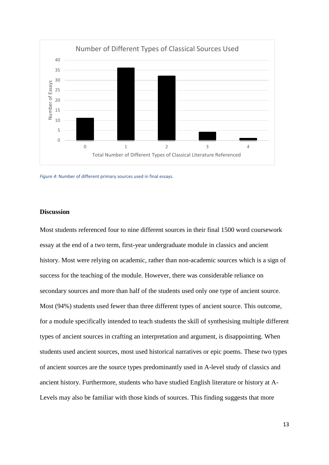

*Figure 4*: Number of different primary sources used in final essays.

#### **Discussion**

Most students referenced four to nine different sources in their final 1500 word coursework essay at the end of a two term, first-year undergraduate module in classics and ancient history. Most were relying on academic, rather than non-academic sources which is a sign of success for the teaching of the module. However, there was considerable reliance on secondary sources and more than half of the students used only one type of ancient source. Most (94%) students used fewer than three different types of ancient source. This outcome, for a module specifically intended to teach students the skill of synthesising multiple different types of ancient sources in crafting an interpretation and argument, is disappointing. When students used ancient sources, most used historical narratives or epic poems. These two types of ancient sources are the source types predominantly used in A-level study of classics and ancient history. Furthermore, students who have studied English literature or history at A-Levels may also be familiar with those kinds of sources. This finding suggests that more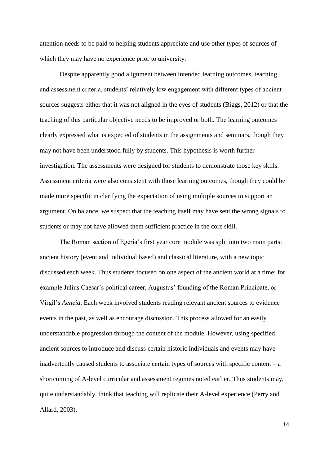attention needs to be paid to helping students appreciate and use other types of sources of which they may have no experience prior to university.

Despite apparently good alignment between intended learning outcomes, teaching, and assessment criteria, students' relatively low engagement with different types of ancient sources suggests either that it was not aligned in the eyes of students (Biggs, 2012) or that the teaching of this particular objective needs to be improved or both. The learning outcomes clearly expressed what is expected of students in the assignments and seminars, though they may not have been understood fully by students. This hypothesis is worth further investigation. The assessments were designed for students to demonstrate those key skills. Assessment criteria were also consistent with those learning outcomes, though they could be made more specific in clarifying the expectation of using multiple sources to support an argument. On balance, we suspect that the teaching itself may have sent the wrong signals to students or may not have allowed them sufficient practice in the core skill.

The Roman section of Egeria's first year core module was split into two main parts: ancient history (event and individual based) and classical literature, with a new topic discussed each week. Thus students focused on one aspect of the ancient world at a time; for example Julius Caesar's political career, Augustus' founding of the Roman Principate, or Virgil's *Aeneid*. Each week involved students reading relevant ancient sources to evidence events in the past, as well as encourage discussion. This process allowed for an easily understandable progression through the content of the module. However, using specified ancient sources to introduce and discuss certain historic individuals and events may have inadvertently caused students to associate certain types of sources with specific content  $-$  a shortcoming of A-level curricular and assessment regimes noted earlier. Thus students may, quite understandably, think that teaching will replicate their A-level experience (Perry and Allard, 2003).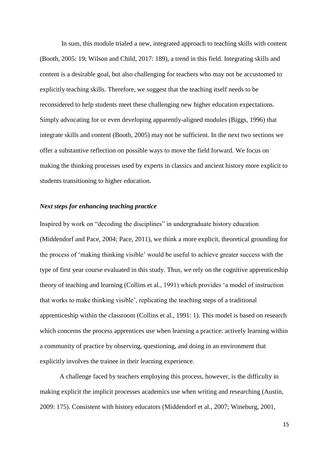In sum, this module trialed a new, integrated approach to teaching skills with content (Booth, 2005: 19; Wilson and Child, 2017: 189), a trend in this field. Integrating skills and content is a desirable goal, but also challenging for teachers who may not be accustomed to explicitly teaching skills. Therefore, we suggest that the teaching itself needs to be reconsidered to help students meet these challenging new higher education expectations. Simply advocating for or even developing apparently-aligned modules (Biggs, 1996) that integrate skills and content (Booth, 2005) may not be sufficient. In the next two sections we offer a substantive reflection on possible ways to move the field forward. We focus on making the thinking processes used by experts in classics and ancient history more explicit to students transitioning to higher education.

#### *Next steps for enhancing teaching practice*

Inspired by work on "decoding the disciplines" in undergraduate history education (Middendorf and Pace, 2004; Pace, 2011), we think a more explicit, theoretical grounding for the process of 'making thinking visible' would be useful to achieve greater success with the type of first year course evaluated in this study. Thus, we rely on the cognitive apprenticeship theory of teaching and learning (Collins et al., 1991) which provides 'a model of instruction that works to make thinking visible', replicating the teaching steps of a traditional apprenticeship within the classroom (Collins et al., 1991: 1). This model is based on research which concerns the process apprentices use when learning a practice: actively learning within a community of practice by observing, questioning, and doing in an environment that explicitly involves the trainee in their learning experience.

A challenge faced by teachers employing this process, however, is the difficulty in making explicit the implicit processes academics use when writing and researching (Austin, 2009: 175). Consistent with history educators (Middendorf et al., 2007; Wineburg, 2001,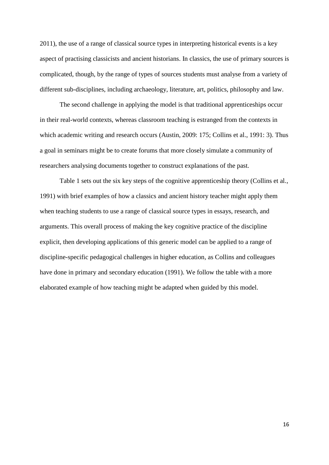2011), the use of a range of classical source types in interpreting historical events is a key aspect of practising classicists and ancient historians. In classics, the use of primary sources is complicated, though, by the range of types of sources students must analyse from a variety of different sub-disciplines, including archaeology, literature, art, politics, philosophy and law.

The second challenge in applying the model is that traditional apprenticeships occur in their real-world contexts, whereas classroom teaching is estranged from the contexts in which academic writing and research occurs (Austin, 2009: 175; Collins et al., 1991: 3). Thus a goal in seminars might be to create forums that more closely simulate a community of researchers analysing documents together to construct explanations of the past.

Table 1 sets out the six key steps of the cognitive apprenticeship theory (Collins et al., 1991) with brief examples of how a classics and ancient history teacher might apply them when teaching students to use a range of classical source types in essays, research, and arguments. This overall process of making the key cognitive practice of the discipline explicit, then developing applications of this generic model can be applied to a range of discipline-specific pedagogical challenges in higher education, as Collins and colleagues have done in primary and secondary education (1991). We follow the table with a more elaborated example of how teaching might be adapted when guided by this model.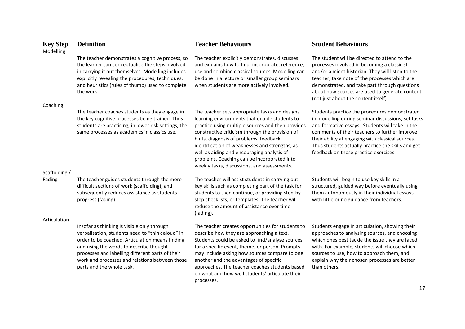| <b>Key Step</b> | <b>Definition</b>                                                                                                                                                                                                                                                                                                                | <b>Teacher Behaviours</b>                                                                                                                                                                                                                                                                                                                                                                                                                        | <b>Student Behaviours</b>                                                                                                                                                                                                                                                                                                                                   |
|-----------------|----------------------------------------------------------------------------------------------------------------------------------------------------------------------------------------------------------------------------------------------------------------------------------------------------------------------------------|--------------------------------------------------------------------------------------------------------------------------------------------------------------------------------------------------------------------------------------------------------------------------------------------------------------------------------------------------------------------------------------------------------------------------------------------------|-------------------------------------------------------------------------------------------------------------------------------------------------------------------------------------------------------------------------------------------------------------------------------------------------------------------------------------------------------------|
| Modelling       |                                                                                                                                                                                                                                                                                                                                  |                                                                                                                                                                                                                                                                                                                                                                                                                                                  |                                                                                                                                                                                                                                                                                                                                                             |
| Coaching        | The teacher demonstrates a cognitive process, so<br>the learner can conceptualise the steps involved<br>in carrying it out themselves. Modelling includes<br>explicitly revealing the procedures, techniques,<br>and heuristics (rules of thumb) used to complete<br>the work.                                                   | The teacher explicitly demonstrates, discusses<br>and explains how to find, incorporate, reference,<br>use and combine classical sources. Modelling can<br>be done in a lecture or smaller group seminars<br>when students are more actively involved.                                                                                                                                                                                           | The student will be directed to attend to the<br>processes involved in becoming a classicist<br>and/or ancient historian. They will listen to the<br>teacher, take note of the processes which are<br>demonstrated, and take part through questions<br>about how sources are used to generate content<br>(not just about the content itself).               |
|                 | The teacher coaches students as they engage in<br>the key cognitive processes being trained. Thus<br>students are practicing, in lower risk settings, the<br>same processes as academics in classics use.                                                                                                                        | The teacher sets appropriate tasks and designs<br>learning environments that enable students to<br>practice using multiple sources and then provides<br>constructive criticism through the provision of<br>hints, diagnosis of problems, feedback,<br>identification of weaknesses and strengths, as<br>well as aiding and encouraging analysis of<br>problems. Coaching can be incorporated into<br>weekly tasks, discussions, and assessments. | Students practice the procedures demonstrated<br>in modelling during seminar discussions, set tasks<br>and formative essays. Students will take in the<br>comments of their teachers to further improve<br>their ability at engaging with classical sources.<br>Thus students actually practice the skills and get<br>feedback on those practice exercises. |
| Scaffolding /   |                                                                                                                                                                                                                                                                                                                                  |                                                                                                                                                                                                                                                                                                                                                                                                                                                  |                                                                                                                                                                                                                                                                                                                                                             |
| Fading          | The teacher guides students through the more<br>difficult sections of work (scaffolding), and<br>subsequently reduces assistance as students<br>progress (fading).                                                                                                                                                               | The teacher will assist students in carrying out<br>key skills such as completing part of the task for<br>students to then continue, or providing step-by-<br>step checklists, or templates. The teacher will<br>reduce the amount of assistance over time<br>(fading).                                                                                                                                                                          | Students will begin to use key skills in a<br>structured, guided way before eventually using<br>them autonomously in their individual essays<br>with little or no guidance from teachers.                                                                                                                                                                   |
| Articulation    | Insofar as thinking is visible only through<br>verbalisation, students need to "think aloud" in<br>order to be coached. Articulation means finding<br>and using the words to describe thought<br>processes and labelling different parts of their<br>work and processes and relations between those<br>parts and the whole task. | The teacher creates opportunities for students to<br>describe how they are approaching a text.<br>Students could be asked to find/analyse sources<br>for a specific event, theme, or person. Prompts<br>may include asking how sources compare to one<br>another and the advantages of specific<br>approaches. The teacher coaches students based<br>on what and how well students' articulate their<br>processes.                               | Students engage in articulation, showing their<br>approaches to analysing sources, and choosing<br>which ones best tackle the issue they are faced<br>with. For example, students will choose which<br>sources to use, how to approach them, and<br>explain why their chosen processes are better<br>than others.                                           |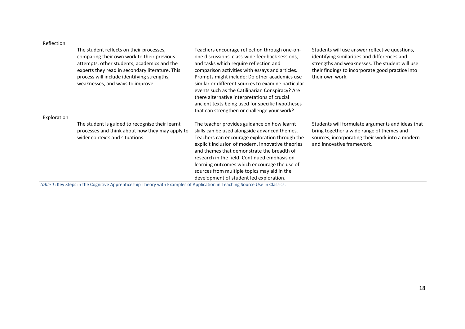#### Reflection

| Exploration | The student reflects on their processes,<br>comparing their own work to their previous<br>attempts, other students, academics and the<br>experts they read in secondary literature. This<br>process will include identifying strengths,<br>weaknesses, and ways to improve.                                                                                                        | Teachers encourage reflection through one-on-<br>one discussions, class-wide feedback sessions,<br>and tasks which require reflection and<br>comparison activities with essays and articles.<br>Prompts might include: Do other academics use<br>similar or different sources to examine particular<br>events such as the Catilinarian Conspiracy? Are<br>there alternative interpretations of crucial<br>ancient texts being used for specific hypotheses<br>that can strengthen or challenge your work? | Students will use answer reflective questions,<br>identifying similarities and differences and<br>strengths and weaknesses. The student will use<br>their findings to incorporate good practice into<br>their own work. |
|-------------|------------------------------------------------------------------------------------------------------------------------------------------------------------------------------------------------------------------------------------------------------------------------------------------------------------------------------------------------------------------------------------|-----------------------------------------------------------------------------------------------------------------------------------------------------------------------------------------------------------------------------------------------------------------------------------------------------------------------------------------------------------------------------------------------------------------------------------------------------------------------------------------------------------|-------------------------------------------------------------------------------------------------------------------------------------------------------------------------------------------------------------------------|
|             | The student is guided to recognise their learnt<br>processes and think about how they may apply to<br>wider contexts and situations.<br>the state of the state of the state of the state of the state of the state of the state of the state of the state of the state of the state of the state of the state of the state of the state of the state of the state of t<br>$\cdots$ | The teacher provides guidance on how learnt<br>skills can be used alongside advanced themes.<br>Teachers can encourage exploration through the<br>explicit inclusion of modern, innovative theories<br>and themes that demonstrate the breadth of<br>research in the field. Continued emphasis on<br>learning outcomes which encourage the use of<br>sources from multiple topics may aid in the<br>development of student led exploration.                                                               | Students will formulate arguments and ideas that<br>bring together a wide range of themes and<br>sources, incorporating their work into a modern<br>and innovative framework.                                           |

*Table 1*: Key Steps in the Cognitive Apprenticeship Theory with Examples of Application in Teaching Source Use in Classics.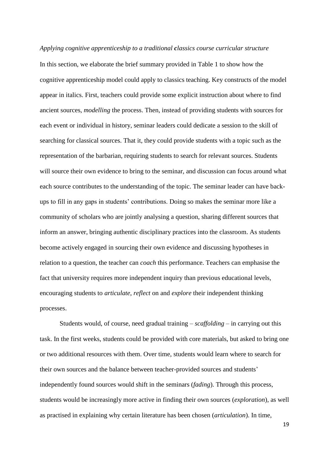*Applying cognitive apprenticeship to a traditional classics course curricular structure* In this section, we elaborate the brief summary provided in Table 1 to show how the cognitive apprenticeship model could apply to classics teaching. Key constructs of the model appear in italics. First, teachers could provide some explicit instruction about where to find ancient sources, *modelling* the process. Then, instead of providing students with sources for each event or individual in history, seminar leaders could dedicate a session to the skill of searching for classical sources. That it, they could provide students with a topic such as the representation of the barbarian, requiring students to search for relevant sources. Students will source their own evidence to bring to the seminar, and discussion can focus around what each source contributes to the understanding of the topic. The seminar leader can have backups to fill in any gaps in students' contributions. Doing so makes the seminar more like a community of scholars who are jointly analysing a question, sharing different sources that inform an answer, bringing authentic disciplinary practices into the classroom. As students become actively engaged in sourcing their own evidence and discussing hypotheses in relation to a question, the teacher can *coach* this performance. Teachers can emphasise the fact that university requires more independent inquiry than previous educational levels, encouraging students to *articulate*, *reflect* on and *explore* their independent thinking processes.

Students would, of course, need gradual training – *scaffolding* – in carrying out this task. In the first weeks, students could be provided with core materials, but asked to bring one or two additional resources with them. Over time, students would learn where to search for their own sources and the balance between teacher-provided sources and students' independently found sources would shift in the seminars (*fading*). Through this process, students would be increasingly more active in finding their own sources (*exploration*), as well as practised in explaining why certain literature has been chosen (*articulation*). In time,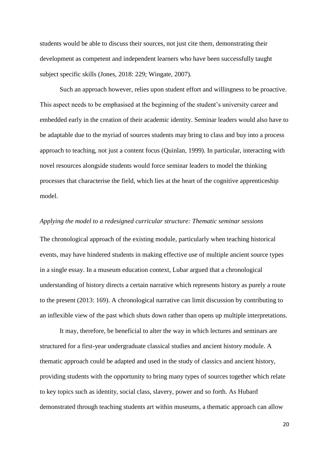students would be able to discuss their sources, not just cite them, demonstrating their development as competent and independent learners who have been successfully taught subject specific skills (Jones, 2018: 229; Wingate, 2007).

Such an approach however, relies upon student effort and willingness to be proactive. This aspect needs to be emphasised at the beginning of the student's university career and embedded early in the creation of their academic identity. Seminar leaders would also have to be adaptable due to the myriad of sources students may bring to class and buy into a process approach to teaching, not just a content focus (Quinlan, 1999). In particular, interacting with novel resources alongside students would force seminar leaders to model the thinking processes that characterise the field, which lies at the heart of the cognitive apprenticeship model.

#### *Applying the model to a redesigned curricular structure: Thematic seminar sessions*

The chronological approach of the existing module, particularly when teaching historical events, may have hindered students in making effective use of multiple ancient source types in a single essay. In a museum education context, Lubar argued that a chronological understanding of history directs a certain narrative which represents history as purely a route to the present (2013: 169). A chronological narrative can limit discussion by contributing to an inflexible view of the past which shuts down rather than opens up multiple interpretations.

It may, therefore, be beneficial to alter the way in which lectures and seminars are structured for a first-year undergraduate classical studies and ancient history module. A thematic approach could be adapted and used in the study of classics and ancient history, providing students with the opportunity to bring many types of sources together which relate to key topics such as identity, social class, slavery, power and so forth. As Hubard demonstrated through teaching students art within museums, a thematic approach can allow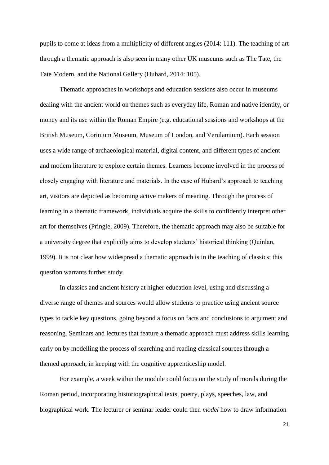pupils to come at ideas from a multiplicity of different angles (2014: 111). The teaching of art through a thematic approach is also seen in many other UK museums such as The Tate, the Tate Modern, and the National Gallery (Hubard, 2014: 105).

Thematic approaches in workshops and education sessions also occur in museums dealing with the ancient world on themes such as everyday life, Roman and native identity, or money and its use within the Roman Empire (e.g. educational sessions and workshops at the British Museum, Corinium Museum, Museum of London, and Verulamium). Each session uses a wide range of archaeological material, digital content, and different types of ancient and modern literature to explore certain themes. Learners become involved in the process of closely engaging with literature and materials. In the case of Hubard's approach to teaching art, visitors are depicted as becoming active makers of meaning. Through the process of learning in a thematic framework, individuals acquire the skills to confidently interpret other art for themselves (Pringle, 2009). Therefore, the thematic approach may also be suitable for a university degree that explicitly aims to develop students' historical thinking (Quinlan, 1999). It is not clear how widespread a thematic approach is in the teaching of classics; this question warrants further study.

In classics and ancient history at higher education level, using and discussing a diverse range of themes and sources would allow students to practice using ancient source types to tackle key questions, going beyond a focus on facts and conclusions to argument and reasoning. Seminars and lectures that feature a thematic approach must address skills learning early on by modelling the process of searching and reading classical sources through a themed approach, in keeping with the cognitive apprenticeship model.

For example, a week within the module could focus on the study of morals during the Roman period, incorporating historiographical texts, poetry, plays, speeches, law, and biographical work. The lecturer or seminar leader could then *model* how to draw information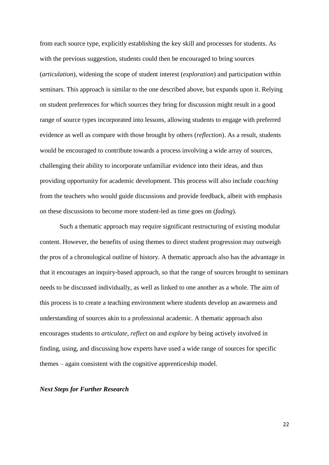from each source type, explicitly establishing the key skill and processes for students. As with the previous suggestion, students could then be encouraged to bring sources (*articulation*), widening the scope of student interest (*exploration*) and participation within seminars. This approach is similar to the one described above, but expands upon it. Relying on student preferences for which sources they bring for discussion might result in a good range of source types incorporated into lessons, allowing students to engage with preferred evidence as well as compare with those brought by others (*reflection*). As a result, students would be encouraged to contribute towards a process involving a wide array of sources, challenging their ability to incorporate unfamiliar evidence into their ideas, and thus providing opportunity for academic development. This process will also include *coaching* from the teachers who would guide discussions and provide feedback, albeit with emphasis on these discussions to become more student-led as time goes on (*fading*).

Such a thematic approach may require significant restructuring of existing modular content. However, the benefits of using themes to direct student progression may outweigh the pros of a chronological outline of history. A thematic approach also has the advantage in that it encourages an inquiry-based approach, so that the range of sources brought to seminars needs to be discussed individually, as well as linked to one another as a whole. The aim of this process is to create a teaching environment where students develop an awareness and understanding of sources akin to a professional academic. A thematic approach also encourages students to *articulate, reflect* on and *explore* by being actively involved in finding, using, and discussing how experts have used a wide range of sources for specific themes – again consistent with the cognitive apprenticeship model.

#### *Next Steps for Further Research*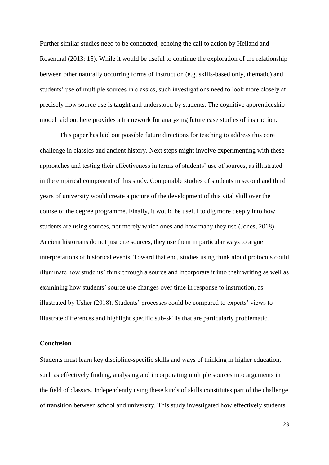Further similar studies need to be conducted, echoing the call to action by Heiland and Rosenthal (2013: 15). While it would be useful to continue the exploration of the relationship between other naturally occurring forms of instruction (e.g. skills-based only, thematic) and students' use of multiple sources in classics, such investigations need to look more closely at precisely how source use is taught and understood by students. The cognitive apprenticeship model laid out here provides a framework for analyzing future case studies of instruction.

This paper has laid out possible future directions for teaching to address this core challenge in classics and ancient history. Next steps might involve experimenting with these approaches and testing their effectiveness in terms of students' use of sources, as illustrated in the empirical component of this study. Comparable studies of students in second and third years of university would create a picture of the development of this vital skill over the course of the degree programme. Finally, it would be useful to dig more deeply into how students are using sources, not merely which ones and how many they use (Jones, 2018). Ancient historians do not just cite sources, they use them in particular ways to argue interpretations of historical events. Toward that end, studies using think aloud protocols could illuminate how students' think through a source and incorporate it into their writing as well as examining how students' source use changes over time in response to instruction, as illustrated by Usher (2018). Students' processes could be compared to experts' views to illustrate differences and highlight specific sub-skills that are particularly problematic.

#### **Conclusion**

Students must learn key discipline-specific skills and ways of thinking in higher education, such as effectively finding, analysing and incorporating multiple sources into arguments in the field of classics. Independently using these kinds of skills constitutes part of the challenge of transition between school and university. This study investigated how effectively students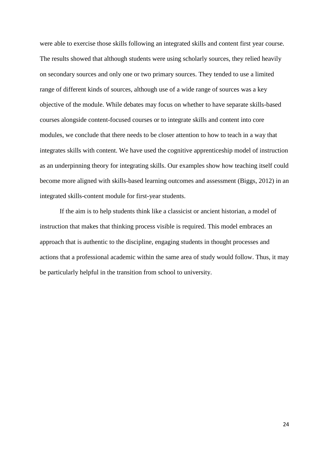were able to exercise those skills following an integrated skills and content first year course. The results showed that although students were using scholarly sources, they relied heavily on secondary sources and only one or two primary sources. They tended to use a limited range of different kinds of sources, although use of a wide range of sources was a key objective of the module. While debates may focus on whether to have separate skills-based courses alongside content-focused courses or to integrate skills and content into core modules, we conclude that there needs to be closer attention to how to teach in a way that integrates skills with content. We have used the cognitive apprenticeship model of instruction as an underpinning theory for integrating skills. Our examples show how teaching itself could become more aligned with skills-based learning outcomes and assessment (Biggs, 2012) in an integrated skills-content module for first-year students.

If the aim is to help students think like a classicist or ancient historian, a model of instruction that makes that thinking process visible is required. This model embraces an approach that is authentic to the discipline, engaging students in thought processes and actions that a professional academic within the same area of study would follow. Thus, it may be particularly helpful in the transition from school to university.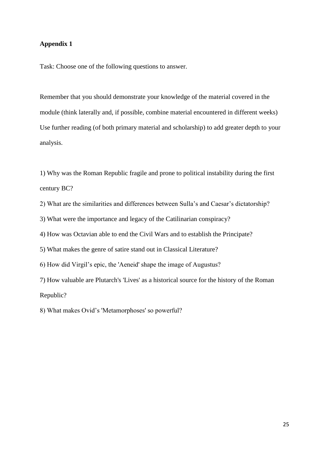#### **Appendix 1**

Task: Choose one of the following questions to answer.

Remember that you should demonstrate your knowledge of the material covered in the module (think laterally and, if possible, combine material encountered in different weeks) Use further reading (of both primary material and scholarship) to add greater depth to your analysis.

1) Why was the Roman Republic fragile and prone to political instability during the first century BC?

2) What are the similarities and differences between Sulla's and Caesar's dictatorship?

3) What were the importance and legacy of the Catilinarian conspiracy?

4) How was Octavian able to end the Civil Wars and to establish the Principate?

5) What makes the genre of satire stand out in Classical Literature?

6) How did Virgil's epic, the 'Aeneid' shape the image of Augustus?

7) How valuable are Plutarch's 'Lives' as a historical source for the history of the Roman Republic?

8) What makes Ovid's 'Metamorphoses' so powerful?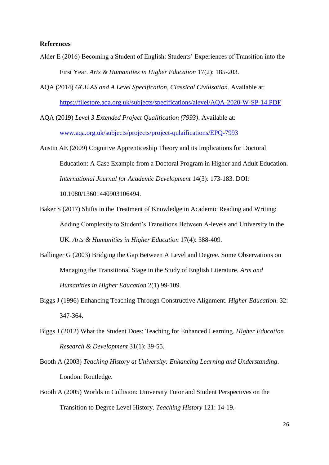#### **References**

- Alder E (2016) Becoming a Student of English: Students' Experiences of Transition into the First Year. *Arts & Humanities in Higher Education* 17(2): 185-203.
- AQA (2014) *GCE AS and A Level Specification, Classical Civilisation*. Available at: <https://filestore.aqa.org.uk/subjects/specifications/alevel/AQA-2020-W-SP-14.PDF>

AQA (2019) *Level 3 Extended Project Qualification (7993)*. Available at: [www.aqa.org.uk/subjects/projects/project-qulaifications/EPQ-7993](http://www.aqa.org.uk/subjects/projects/project-qulaifications/EPQ-7993)

- Austin AE (2009) Cognitive Apprenticeship Theory and its Implications for Doctoral Education: A Case Example from a Doctoral Program in Higher and Adult Education. *International Journal for Academic Development* 14(3): 173-183. DOI: 10.1080/13601440903106494.
- Baker S (2017) Shifts in the Treatment of Knowledge in Academic Reading and Writing: Adding Complexity to Student's Transitions Between A-levels and University in the UK. *Arts & Humanities in Higher Education* 17(4): 388-409.
- Ballinger G (2003) Bridging the Gap Between A Level and Degree. Some Observations on Managing the Transitional Stage in the Study of English Literature. *Arts and Humanities in Higher Education* 2(1) 99-109.
- Biggs J (1996) Enhancing Teaching Through Constructive Alignment. *Higher Education*. 32: 347-364.
- Biggs J (2012) What the Student Does: Teaching for Enhanced Learning. *Higher Education Research & Development* 31(1): 39-55.
- Booth A (2003) *Teaching History at University: Enhancing Learning and Understanding*. London: Routledge.
- Booth A (2005) Worlds in Collision: University Tutor and Student Perspectives on the Transition to Degree Level History. *Teaching History* 121: 14-19.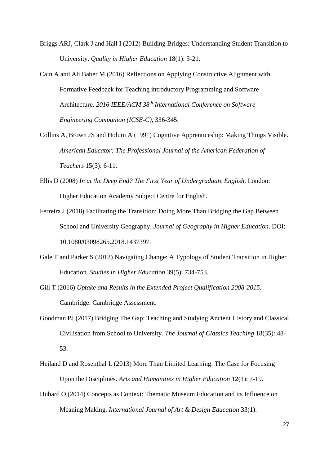- Briggs ARJ, Clark J and Hall I (2012) Building Bridges: Understanding Student Transition to University. *Quality in Higher Education* 18(1): 3-21.
- Cain A and Ali Baber M (2016) Reflections on Applying Constructive Alignment with Formative Feedback for Teaching introductory Programming and Software Architecture. *2016 IEEE/ACM 38th International Conference on Software Engineering Companion (ICSE-C)*, 336-345.
- Collins A, Brown JS and Holum A (1991) Cognitive Apprenticeship: Making Things Visible. *American Educator: The Professional Journal of the American Federation of Teachers* 15(3): 6-11.
- Ellis D (2008) *In at the Deep End? The First Year of Undergraduate English*. London: Higher Education Academy Subject Centre for English.
- Ferreira J (2018) Facilitating the Transition: Doing More Than Bridging the Gap Between School and University Geography. *Journal of Geography in Higher Education.* DOI: 10.1080/03098265.2018.1437397.
- Gale T and Parker S (2012) Navigating Change: A Typology of Student Transition in Higher Education. *Studies in Higher Education* 39(5): 734-753.
- Gill T (2016) *Uptake and Results in the Extended Project Qualification 2008-2015*. Cambridge: Cambridge Assessment.
- Goodman PJ (2017) Bridging The Gap: Teaching and Studying Ancient History and Classical Civilisation from School to University. *The Journal of Classics Teaching* 18(35): 48- 53.
- Heiland D and Rosenthal L (2013) More Than Limited Learning: The Case for Focusing Upon the Disciplines. *Arts and Humanities in Higher Education* 12(1): 7-19.
- Hubard O (2014) Concepts as Context: Thematic Museum Education and its Influence on Meaning Making. *International Journal of Art & Design Education* 33(1).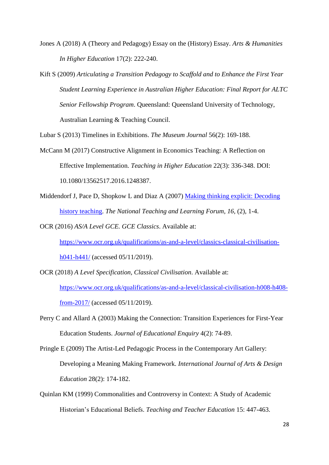- Jones A (2018) A (Theory and Pedagogy) Essay on the (History) Essay. *Arts & Humanities In Higher Education* 17(2): 222-240.
- Kift S (2009) *Articulating a Transition Pedagogy to Scaffold and to Enhance the First Year Student Learning Experience in Australian Higher Education: Final Report for ALTC Senior Fellowship Program*. Queensland: Queensland University of Technology, Australian Learning & Teaching Council.

Lubar S (2013) Timelines in Exhibitions. *The Museum Journal* 56(2): 169-188.

- McCann M (2017) Constructive Alignment in Economics Teaching: A Reflection on Effective Implementation. *Teaching in Higher Education* 22(3): 336-348. DOI: 10.1080/13562517.2016.1248387.
- Middendorf J, Pace D, Shopkow L and Diaz A (2007) [Making thinking explicit: Decoding](http://www.indiana.edu/~hlp/resources/national_teaching_and_learning_forum.pdf)  [history teaching.](http://www.indiana.edu/~hlp/resources/national_teaching_and_learning_forum.pdf) *The National Teaching and Learning Forum*, *16,* (2), 1-4.

OCR (2016) *AS/A Level GCE. GCE Classics*. Available at:

[https://www.ocr.org.uk/qualifications/as-and-a-level/classics-classical-civilisation](https://www.ocr.org.uk/qualifications/as-and-a-level/classics-classical-civilisation-h041-h441/)[h041-h441/](https://www.ocr.org.uk/qualifications/as-and-a-level/classics-classical-civilisation-h041-h441/) (accessed 05/11/2019).

- OCR (2018) *A Level Specification, Classical Civilisation*. Available at: [https://www.ocr.org.uk/qualifications/as-and-a-level/classical-civilisation-h008-h408](https://www.ocr.org.uk/qualifications/as-and-a-level/classical-civilisation-h008-h408-from-2017/) [from-2017/](https://www.ocr.org.uk/qualifications/as-and-a-level/classical-civilisation-h008-h408-from-2017/) (accessed 05/11/2019).
- Perry C and Allard A (2003) Making the Connection: Transition Experiences for First-Year Education Students. *Journal of Educational Enquiry* 4(2): 74-89.

Pringle E (2009) The Artist-Led Pedagogic Process in the Contemporary Art Gallery: Developing a Meaning Making Framework. *International Journal of Arts & Design Education* 28(2): 174-182.

Quinlan KM (1999) Commonalities and Controversy in Context: A Study of Academic Historian's Educational Beliefs. *Teaching and Teacher Education* 15: 447-463.